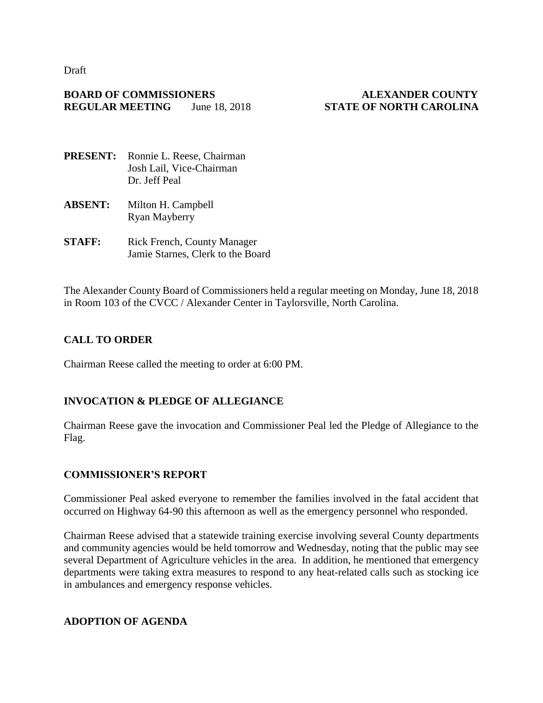Draft

## **BOARD OF COMMISSIONERS ALEXANDER COUNTY REGULAR MEETING** June 18, 2018 **STATE OF NORTH CAROLINA**

- **PRESENT:** Ronnie L. Reese, Chairman Josh Lail, Vice-Chairman Dr. Jeff Peal
- **ABSENT:** Milton H. Campbell Ryan Mayberry
- **STAFF:** Rick French, County Manager Jamie Starnes, Clerk to the Board

The Alexander County Board of Commissioners held a regular meeting on Monday, June 18, 2018 in Room 103 of the CVCC / Alexander Center in Taylorsville, North Carolina.

# **CALL TO ORDER**

Chairman Reese called the meeting to order at 6:00 PM.

# **INVOCATION & PLEDGE OF ALLEGIANCE**

Chairman Reese gave the invocation and Commissioner Peal led the Pledge of Allegiance to the Flag.

# **COMMISSIONER'S REPORT**

Commissioner Peal asked everyone to remember the families involved in the fatal accident that occurred on Highway 64-90 this afternoon as well as the emergency personnel who responded.

Chairman Reese advised that a statewide training exercise involving several County departments and community agencies would be held tomorrow and Wednesday, noting that the public may see several Department of Agriculture vehicles in the area. In addition, he mentioned that emergency departments were taking extra measures to respond to any heat-related calls such as stocking ice in ambulances and emergency response vehicles.

# **ADOPTION OF AGENDA**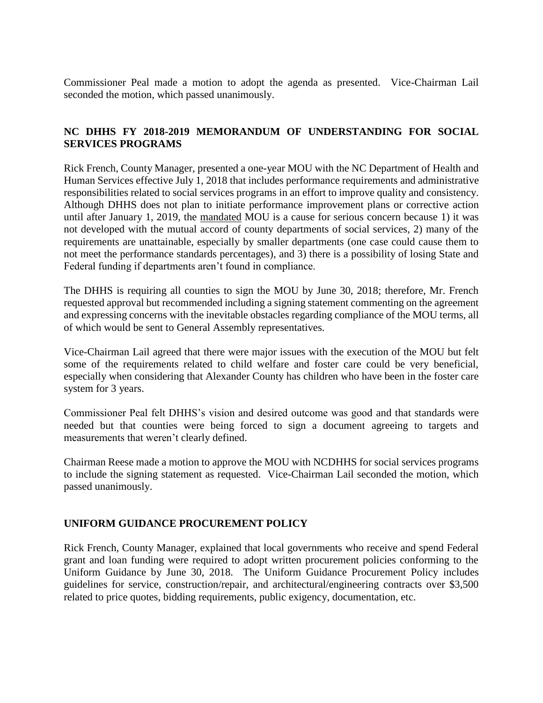Commissioner Peal made a motion to adopt the agenda as presented. Vice-Chairman Lail seconded the motion, which passed unanimously.

# **NC DHHS FY 2018-2019 MEMORANDUM OF UNDERSTANDING FOR SOCIAL SERVICES PROGRAMS**

Rick French, County Manager, presented a one-year MOU with the NC Department of Health and Human Services effective July 1, 2018 that includes performance requirements and administrative responsibilities related to social services programs in an effort to improve quality and consistency. Although DHHS does not plan to initiate performance improvement plans or corrective action until after January 1, 2019, the mandated MOU is a cause for serious concern because 1) it was not developed with the mutual accord of county departments of social services, 2) many of the requirements are unattainable, especially by smaller departments (one case could cause them to not meet the performance standards percentages), and 3) there is a possibility of losing State and Federal funding if departments aren't found in compliance.

The DHHS is requiring all counties to sign the MOU by June 30, 2018; therefore, Mr. French requested approval but recommended including a signing statement commenting on the agreement and expressing concerns with the inevitable obstacles regarding compliance of the MOU terms, all of which would be sent to General Assembly representatives.

Vice-Chairman Lail agreed that there were major issues with the execution of the MOU but felt some of the requirements related to child welfare and foster care could be very beneficial, especially when considering that Alexander County has children who have been in the foster care system for 3 years.

Commissioner Peal felt DHHS's vision and desired outcome was good and that standards were needed but that counties were being forced to sign a document agreeing to targets and measurements that weren't clearly defined.

Chairman Reese made a motion to approve the MOU with NCDHHS for social services programs to include the signing statement as requested. Vice-Chairman Lail seconded the motion, which passed unanimously.

### **UNIFORM GUIDANCE PROCUREMENT POLICY**

Rick French, County Manager, explained that local governments who receive and spend Federal grant and loan funding were required to adopt written procurement policies conforming to the Uniform Guidance by June 30, 2018. The Uniform Guidance Procurement Policy includes guidelines for service, construction/repair, and architectural/engineering contracts over \$3,500 related to price quotes, bidding requirements, public exigency, documentation, etc.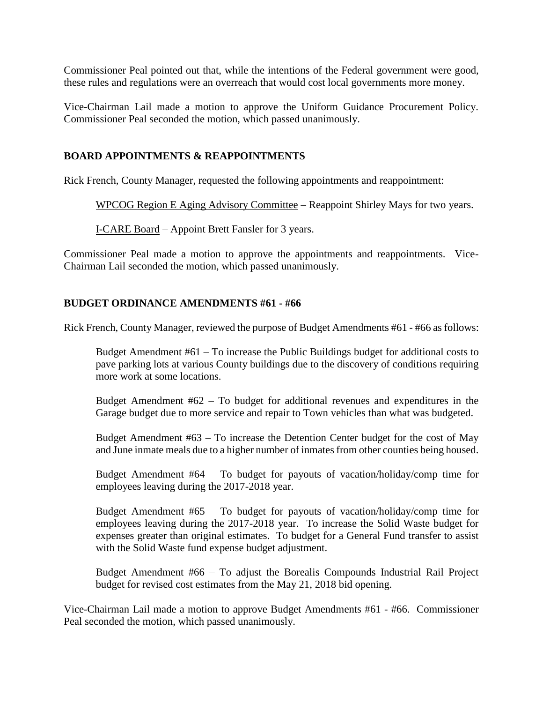Commissioner Peal pointed out that, while the intentions of the Federal government were good, these rules and regulations were an overreach that would cost local governments more money.

Vice-Chairman Lail made a motion to approve the Uniform Guidance Procurement Policy. Commissioner Peal seconded the motion, which passed unanimously.

## **BOARD APPOINTMENTS & REAPPOINTMENTS**

Rick French, County Manager, requested the following appointments and reappointment:

WPCOG Region E Aging Advisory Committee – Reappoint Shirley Mays for two years.

I-CARE Board – Appoint Brett Fansler for 3 years.

Commissioner Peal made a motion to approve the appointments and reappointments. Vice-Chairman Lail seconded the motion, which passed unanimously.

### **BUDGET ORDINANCE AMENDMENTS #61 - #66**

Rick French, County Manager, reviewed the purpose of Budget Amendments #61 - #66 as follows:

Budget Amendment #61 – To increase the Public Buildings budget for additional costs to pave parking lots at various County buildings due to the discovery of conditions requiring more work at some locations.

Budget Amendment  $#62 - To budget for additional revenues and expenditures in the$ Garage budget due to more service and repair to Town vehicles than what was budgeted.

Budget Amendment #63 – To increase the Detention Center budget for the cost of May and June inmate meals due to a higher number of inmates from other counties being housed.

Budget Amendment #64 – To budget for payouts of vacation/holiday/comp time for employees leaving during the 2017-2018 year.

Budget Amendment #65 – To budget for payouts of vacation/holiday/comp time for employees leaving during the 2017-2018 year. To increase the Solid Waste budget for expenses greater than original estimates. To budget for a General Fund transfer to assist with the Solid Waste fund expense budget adjustment.

Budget Amendment #66 – To adjust the Borealis Compounds Industrial Rail Project budget for revised cost estimates from the May 21, 2018 bid opening.

Vice-Chairman Lail made a motion to approve Budget Amendments #61 - #66. Commissioner Peal seconded the motion, which passed unanimously.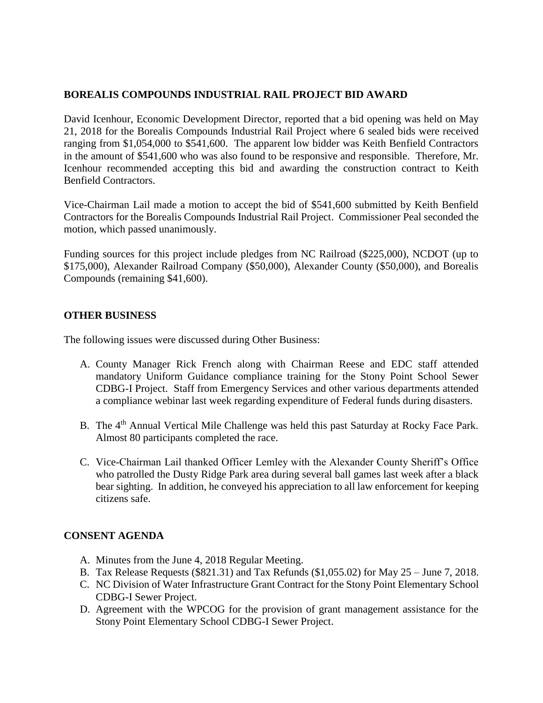## **BOREALIS COMPOUNDS INDUSTRIAL RAIL PROJECT BID AWARD**

David Icenhour, Economic Development Director, reported that a bid opening was held on May 21, 2018 for the Borealis Compounds Industrial Rail Project where 6 sealed bids were received ranging from \$1,054,000 to \$541,600. The apparent low bidder was Keith Benfield Contractors in the amount of \$541,600 who was also found to be responsive and responsible. Therefore, Mr. Icenhour recommended accepting this bid and awarding the construction contract to Keith Benfield Contractors.

Vice-Chairman Lail made a motion to accept the bid of \$541,600 submitted by Keith Benfield Contractors for the Borealis Compounds Industrial Rail Project. Commissioner Peal seconded the motion, which passed unanimously.

Funding sources for this project include pledges from NC Railroad (\$225,000), NCDOT (up to \$175,000), Alexander Railroad Company (\$50,000), Alexander County (\$50,000), and Borealis Compounds (remaining \$41,600).

### **OTHER BUSINESS**

The following issues were discussed during Other Business:

- A. County Manager Rick French along with Chairman Reese and EDC staff attended mandatory Uniform Guidance compliance training for the Stony Point School Sewer CDBG-I Project. Staff from Emergency Services and other various departments attended a compliance webinar last week regarding expenditure of Federal funds during disasters.
- B. The 4<sup>th</sup> Annual Vertical Mile Challenge was held this past Saturday at Rocky Face Park. Almost 80 participants completed the race.
- C. Vice-Chairman Lail thanked Officer Lemley with the Alexander County Sheriff's Office who patrolled the Dusty Ridge Park area during several ball games last week after a black bear sighting. In addition, he conveyed his appreciation to all law enforcement for keeping citizens safe.

### **CONSENT AGENDA**

- A. Minutes from the June 4, 2018 Regular Meeting.
- B. Tax Release Requests (\$821.31) and Tax Refunds (\$1,055.02) for May 25 June 7, 2018.
- C. NC Division of Water Infrastructure Grant Contract for the Stony Point Elementary School CDBG-I Sewer Project.
- D. Agreement with the WPCOG for the provision of grant management assistance for the Stony Point Elementary School CDBG-I Sewer Project.